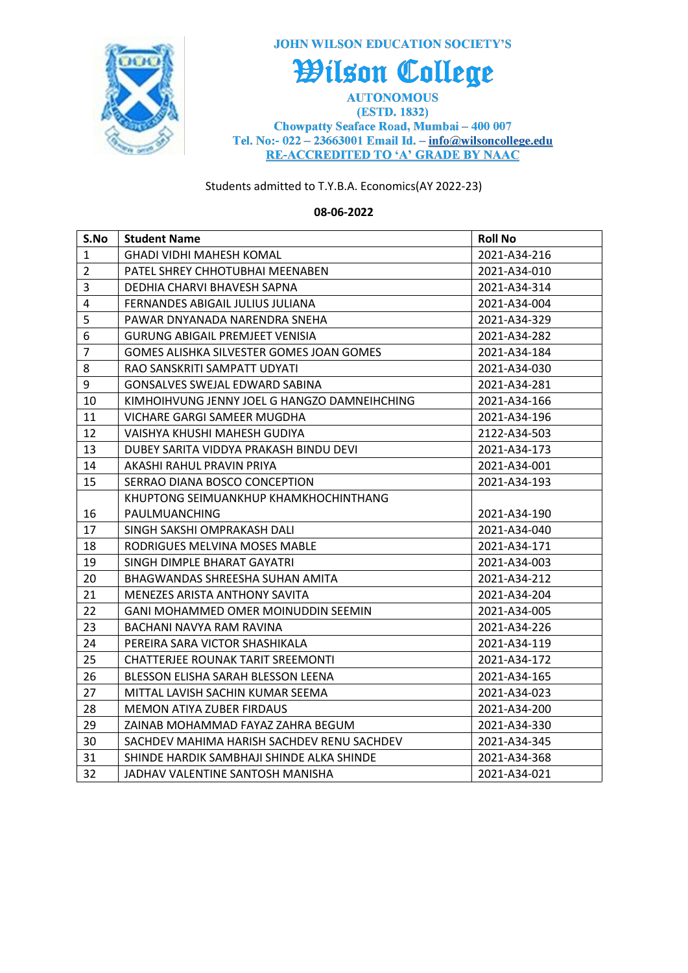

**JOHN WILSON EDUCATION SOCIETY'S** 

## Wilson College

**AUTONOMOUS** (ESTD. 1832) Chowpatty Seaface Road, Mumbai - 400 007 Tel. No:- 022 - 23663001 Email Id. - info@wilsoncollege.edu **RE-ACCREDITED TO 'A' GRADE BY NAAC** 

## Students admitted to T.Y.B.A. Economics(AY 2022-23)

## **08-06-2022**

| S.No                    | <b>Student Name</b>                             | <b>Roll No</b> |
|-------------------------|-------------------------------------------------|----------------|
| $\mathbf{1}$            | <b>GHADI VIDHI MAHESH KOMAL</b>                 | 2021-A34-216   |
| $\overline{2}$          | PATEL SHREY CHHOTUBHAI MEENABEN                 | 2021-A34-010   |
| 3                       | DEDHIA CHARVI BHAVESH SAPNA                     | 2021-A34-314   |
| $\overline{\mathbf{4}}$ | FERNANDES ABIGAIL JULIUS JULIANA                | 2021-A34-004   |
| 5                       | PAWAR DNYANADA NARENDRA SNEHA                   | 2021-A34-329   |
| 6                       | <b>GURUNG ABIGAIL PREMJEET VENISIA</b>          | 2021-A34-282   |
| $\overline{7}$          | <b>GOMES ALISHKA SILVESTER GOMES JOAN GOMES</b> | 2021-A34-184   |
| 8                       | RAO SANSKRITI SAMPATT UDYATI                    | 2021-A34-030   |
| $\boldsymbol{9}$        | GONSALVES SWEJAL EDWARD SABINA                  | 2021-A34-281   |
| 10                      | KIMHOIHVUNG JENNY JOEL G HANGZO DAMNEIHCHING    | 2021-A34-166   |
| 11                      | <b>VICHARE GARGI SAMEER MUGDHA</b>              | 2021-A34-196   |
| 12                      | VAISHYA KHUSHI MAHESH GUDIYA                    | 2122-A34-503   |
| 13                      | DUBEY SARITA VIDDYA PRAKASH BINDU DEVI          | 2021-A34-173   |
| 14                      | AKASHI RAHUL PRAVIN PRIYA                       | 2021-A34-001   |
| 15                      | SERRAO DIANA BOSCO CONCEPTION                   | 2021-A34-193   |
|                         | KHUPTONG SEIMUANKHUP KHAMKHOCHINTHANG           |                |
| 16                      | PAULMUANCHING                                   | 2021-A34-190   |
| 17                      | SINGH SAKSHI OMPRAKASH DALI                     | 2021-A34-040   |
| 18                      | RODRIGUES MELVINA MOSES MABLE                   | 2021-A34-171   |
| 19                      | SINGH DIMPLE BHARAT GAYATRI                     | 2021-A34-003   |
| 20                      | BHAGWANDAS SHREESHA SUHAN AMITA                 | 2021-A34-212   |
| 21                      | MENEZES ARISTA ANTHONY SAVITA                   | 2021-A34-204   |
| 22                      | GANI MOHAMMED OMER MOINUDDIN SEEMIN             | 2021-A34-005   |
| 23                      | BACHANI NAVYA RAM RAVINA                        | 2021-A34-226   |
| 24                      | PEREIRA SARA VICTOR SHASHIKALA                  | 2021-A34-119   |
| 25                      | <b>CHATTERJEE ROUNAK TARIT SREEMONTI</b>        | 2021-A34-172   |
| 26                      | BLESSON ELISHA SARAH BLESSON LEENA              | 2021-A34-165   |
| 27                      | MITTAL LAVISH SACHIN KUMAR SEEMA                | 2021-A34-023   |
| 28                      | <b>MEMON ATIYA ZUBER FIRDAUS</b>                | 2021-A34-200   |
| 29                      | ZAINAB MOHAMMAD FAYAZ ZAHRA BEGUM               | 2021-A34-330   |
| 30                      | SACHDEV MAHIMA HARISH SACHDEV RENU SACHDEV      | 2021-A34-345   |
| 31                      | SHINDE HARDIK SAMBHAJI SHINDE ALKA SHINDE       | 2021-A34-368   |
| 32                      | JADHAV VALENTINE SANTOSH MANISHA                | 2021-A34-021   |